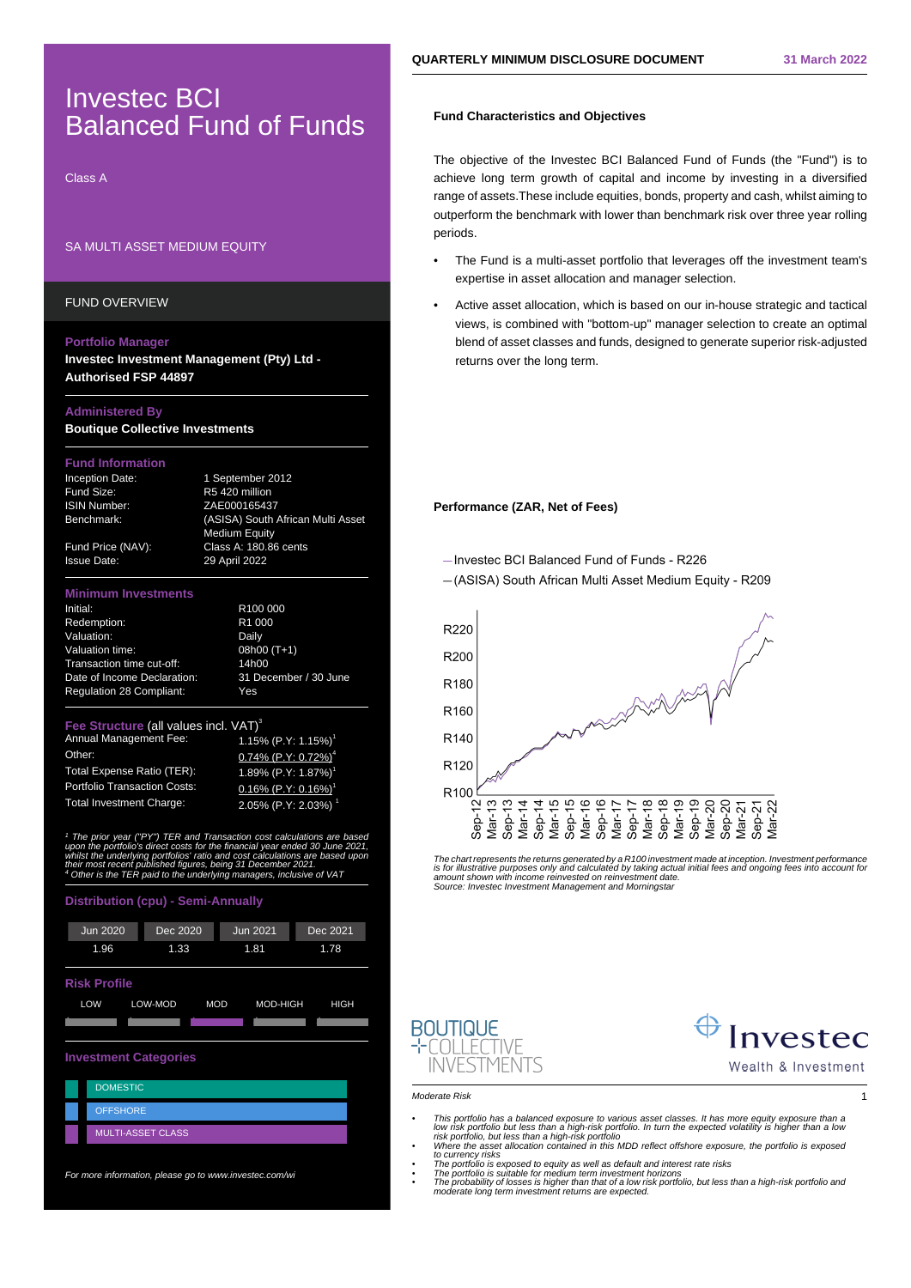## Investec BCI Balanced Fund of Funds

Class A

## SA MULTI ASSET MEDIUM EQUITY

FUND OVERVIEW

### **Portfolio Manager**

**Investec Investment Management (Pty) Ltd - Authorised FSP 44897**

## **Administered By**

**Boutique Collective Investments**

## **Fund Information**

Issue Date: 29 April 2022

Inception Date: 1 September 2012 Fund Size: R5 420 million ISIN Number: ZAE000165437 Benchmark: (ASISA) South African Multi Asset Medium Equity Fund Price (NAV): Class A: 180.86 cents

## **Minimum Investments**

Initial: R100 000 Redemption: R1 000 Valuation: Daily Valuation time: 08h00 (T+1) Transaction time cut-off: 14h00 Date of Income Declaration: 31 December / 30 June Regulation 28 Compliant: Yes

Annual Management Fee: Other: 0.74% (P.Y: 0.72%)<sup>4</sup> Total Expense Ratio (TER):  $1.89\%$  (P.Y: 1.87%)<br>Portfolio Transaction Costs:  $0.16\%$  (P.Y: 0.16%)

**Fee Structure (all values incl. VAT)<sup>3</sup><br>Annual Management Fee: 1.15% (P.Y: 1.15%)<sup>1</sup>**  $0.16\%$  (P.Y: 0.16%) Total Investment Charge: 2.05% (P.Y: 2.03%) <sup>1</sup>

<sup>1</sup> The prior year ("PY") TER and Transaction cost calculations are based upon the portfolio's direct costs for the financial year ended 30 June 2021,<br>upon the portfolio's direct costs for the financial year ended 30 June

## **Distribution (cpu) - Semi-Annually**



For more information, please go to www.investec.com/wi

## **Fund Characteristics and Objectives**

The objective of the Investec BCI Balanced Fund of Funds (the "Fund") is to achieve long term growth of capital and income by investing in a diversified range of assets.These include equities, bonds, property and cash, whilst aiming to outperform the benchmark with lower than benchmark risk over three year rolling periods.

- The Fund is a multi-asset portfolio that leverages off the investment team's expertise in asset allocation and manager selection.
- Active asset allocation, which is based on our in-house strategic and tactical views, is combined with "bottom-up" manager selection to create an optimal blend of asset classes and funds, designed to generate superior risk-adjusted returns over the long term.

## **Performance (ZAR, Net of Fees)**

-Investec BCI Balanced Fund of Funds - R226

- (ASISA) South African Multi Asset Medium Equity - R209



The chart represents the returns generated by a R100 investment made at inception. Investment performance is for illustrative purposes only and calculated by taking actual initial fees and ongoing fees into account fo<br>amount shown with income reinvested on reinvestment date.<br>Source: Investec Investment Management and Morningst





#### Moderate Risk 1

- 
- This portfolio has a balanced exposure to various asset classes. It has more equity exposure than a low risk portfolio but less than a high-risk portfolio. In turn the expected volatility is higher than a low risk portfo
- 
- The portfolio is suitable for medium term investment horizons • The probability of losses is higher than that of a low risk portfolio, but less than a high-risk portfolio and moderate long term investment returns are expected.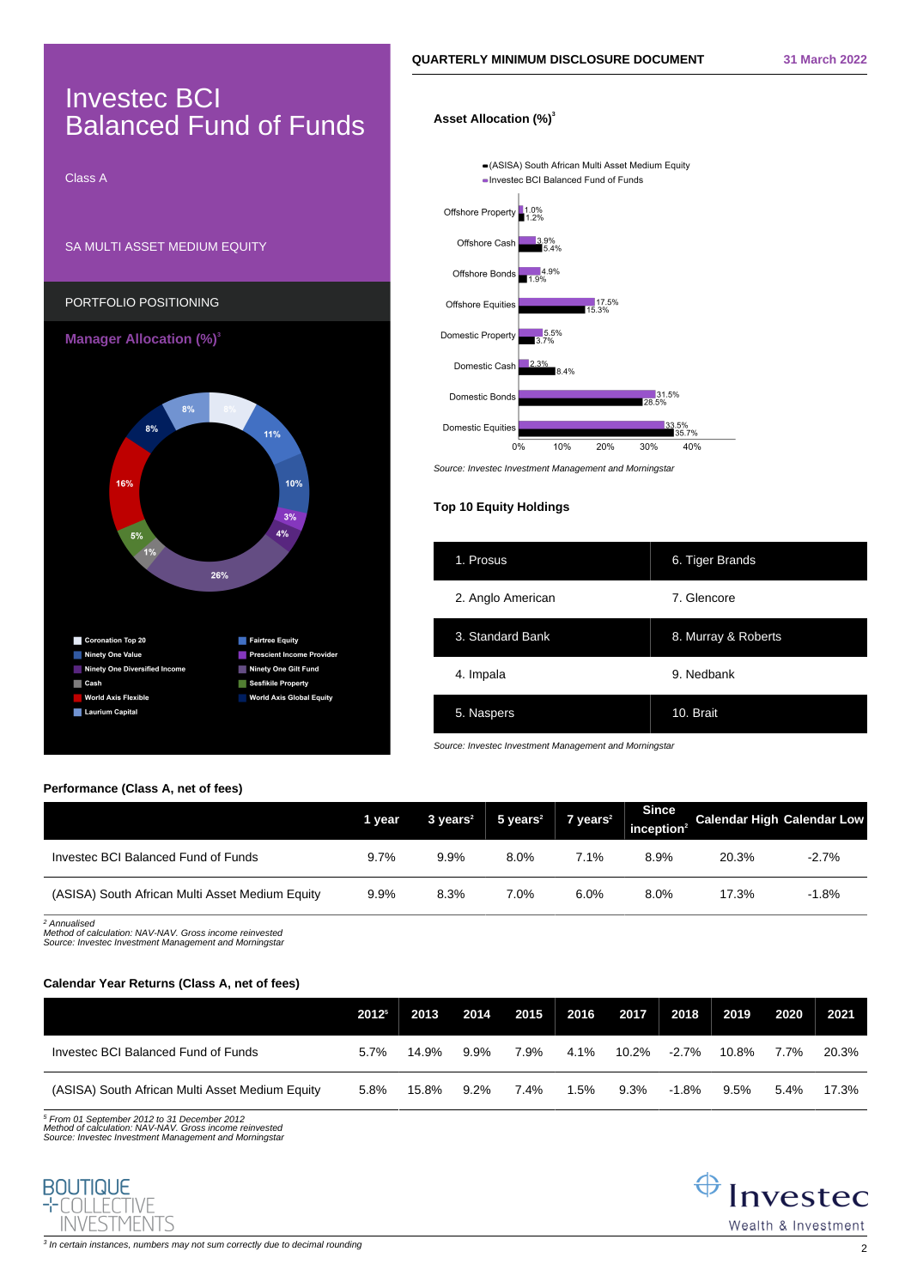# Investec BCI Balanced Fund of Funds

Class A

## SA MULTI ASSET MEDIUM EQUITY



## **Asset Allocation (%)<sup>3</sup>**

-(ASISA) South African Multi Asset Medium Equity - Investec BCI Balanced Fund of Funds Offshore Property 1.0% Offshore Cash 9%<br>= 40 Offshore Bonds 4.9% Offshore Equities  $17.5\%$ Domestic Property 5.5% Domestic Cash  $R^2$ 31.5% Domestic Bonds Domestic Equities .5%<br>35.7%  $0\%$ 10% 20% 30% 40% Source: Investec Investment Management and Morningstar

## **Top 10 Equity Holdings**

| 1. Prosus         | 6. Tiger Brands     |
|-------------------|---------------------|
| 2. Anglo American | 7. Glencore         |
| 3. Standard Bank  | 8. Murray & Roberts |
| 4. Impala         | 9. Nedbank          |
| 5. Naspers        | 10. Brait           |

Source: Investec Investment Management and Morningstar

## **Performance (Class A, net of fees)**

|                                                 | 1 year | $3 \text{ years}^2$ | $5$ years <sup>2</sup> | $7$ years <sup>2</sup> | <b>Since</b><br>inception <sup>2</sup> | <b>Calendar High Calendar Low</b> |         |
|-------------------------------------------------|--------|---------------------|------------------------|------------------------|----------------------------------------|-----------------------------------|---------|
| Investec BCI Balanced Fund of Funds             | 9.7%   | 9.9%                | 8.0%                   | 7.1%                   | 8.9%                                   | 20.3%                             | $-2.7%$ |
| (ASISA) South African Multi Asset Medium Equity | 9.9%   | 8.3%                | 7.0%                   | 6.0%                   | 8.0%                                   | 17.3%                             | $-1.8%$ |

2 Annualised Method of calculation: NAV-NAV. Gross income reinvested Source: Investec Investment Management and Morningstar

## **Calendar Year Returns (Class A, net of fees)**

|                                                 | 2012 <sup>5</sup> | 2013  | 2014    | 2015    | 2016 | 2017  | 2018     | 2019  | 2020    | - 2021 |
|-------------------------------------------------|-------------------|-------|---------|---------|------|-------|----------|-------|---------|--------|
| Investec BCI Balanced Fund of Funds             | 5.7%              | 14.9% | $9.9\%$ | 7.9%    | 4.1% | 10.2% | $-2.7\%$ | 10.8% | 7.7%    | 20.3%  |
| (ASISA) South African Multi Asset Medium Equity | 5.8%              | 15.8% | $9.2\%$ | $7.4\%$ | 1.5% | 9.3%  | -1.8%    | 9.5%  | $5.4\%$ | 17.3%  |

5 From 01 September 2012 to 31 December 2012 Method of calculation: NAV-NAV. Gross income reinvested Source: Investec Investment Management and Morningstar